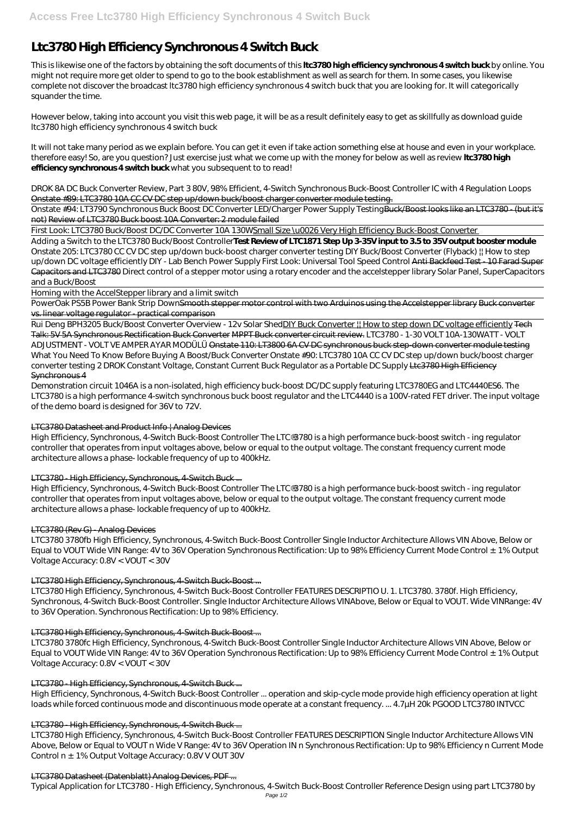# **Ltc3780 High Efficiency Synchronous 4 Switch Buck**

This is likewise one of the factors by obtaining the soft documents of this **ltc3780 high efficiency synchronous 4 switch buck** by online. You might not require more get older to spend to go to the book establishment as well as search for them. In some cases, you likewise complete not discover the broadcast ltc3780 high efficiency synchronous 4 switch buck that you are looking for. It will categorically squander the time.

It will not take many period as we explain before. You can get it even if take action something else at house and even in your workplace. therefore easy! So, are you question? Just exercise just what we come up with the money for below as well as review **ltc3780 high efficiency synchronous 4 switch buck** what you subsequent to to read!

However below, taking into account you visit this web page, it will be as a result definitely easy to get as skillfully as download guide ltc3780 high efficiency synchronous 4 switch buck

Onstate #94: LT3790 Synchronous Buck Boost DC Converter LED/Charger Power Supply TestingBuck/Boost looks like an LTC3780 - (but it's not) Review of LTC3780 Buck boost 10A Converter: 2 module failed

First Look: LTC3780 Buck/Boost DC/DC Converter 10A 130WSmall Size \u0026 Very High Efficiency Buck-Boost Converter

*DROK 8A DC Buck Converter Review, Part 3 80V, 98% Efficient, 4-Switch Synchronous Buck-Boost Controller IC with 4 Regulation Loops* Onstate #89: LTC3780 10A CC CV DC step up/down buck/boost charger converter module testing.

PowerOak PS5B Power Bank Strip Down<del>Smooth stepper motor control with two Arduinos using the Accelstepper library Buck converter</del> vs. linear voltage regulator - practical comparison

Rui Deng BPH3205 Buck/Boost Converter Overview - 12v Solar ShedDIY Buck Converter !! How to step down DC voltage efficiently Tech Talk: 5V 5A Synchronous Rectification Buck Converter MPPT Buck converter circuit review. *LTC3780 - 1-30 VOLT 10A-130WATT - VOLT ADJUSTMENT - VOLT VE AMPER AYAR MODÜLÜ* Onstate 110: LT3800 6A CV DC synchronous buck step-down converter module testing *What You Need To Know Before Buying A Boost/Buck Converter Onstate #90: LTC3780 10A CC CV DC step up/down buck/boost charger converter testing 2 DROK Constant Voltage, Constant Current Buck Regulator as a Portable DC Supply* Ltc3780 High Efficiency

Adding a Switch to the LTC3780 Buck/Boost Controller**Test Review of LTC1871 Step Up 3-35V input to 3.5 to 35V output booster module** *Onstate 205: LTC3780 CC CV DC step up/down buck-boost charger converter testing DIY Buck/Boost Converter (Flyback) || How to step up/down DC voltage efficiently* DIY - Lab Bench Power Supply *First Look: Universal Tool Speed Control* Anti Backfeed Test - 10 Farad Super Capacitors and LTC3780 Direct control of a stepper motor using a rotary encoder and the accelstepper library Solar Panel, SuperCapacitors and a Buck/Boost

Homing with the AccelStepper library and a limit switch

## Synchronous 4

Demonstration circuit 1046A is a non-isolated, high efficiency buck-boost DC/DC supply featuring LTC3780EG and LTC4440ES6. The LTC3780 is a high performance 4-switch synchronous buck boost regulator and the LTC4440 is a 100V-rated FET driver. The input voltage of the demo board is designed for 36V to 72V.

## LTC3780 Datasheet and Product Info | Analog Devices

High Efficiency, Synchronous, 4-Switch Buck-Boost Controller The LTC®3780 is a high performance buck-boost switch - ing regulator controller that operates from input voltages above, below or equal to the output voltage. The constant frequency current mode architecture allows a phase- lockable frequency of up to 400kHz.

# LTC3780 - High Efficiency, Synchronous, 4-Switch Buck ...

High Efficiency, Synchronous, 4-Switch Buck-Boost Controller The LTC®3780 is a high performance buck-boost switch - ing regulator controller that operates from input voltages above, below or equal to the output voltage. The constant frequency current mode architecture allows a phase- lockable frequency of up to 400kHz.

# LTC3780 (Rev G) - Analog Devices

LTC3780 3780fb High Efficiency, Synchronous, 4-Switch Buck-Boost Controller Single Inductor Architecture Allows VIN Above, Below or Equal to VOUT Wide VIN Range: 4V to 36V Operation Synchronous Rectification: Up to 98% Efficiency Current Mode Control ± 1% Output Voltage Accuracy: 0.8V < VOUT < 30V

# LTC3780 High Efficiency, Synchronous, 4-Switch Buck-Boost ...

LTC3780 High Efficiency, Synchronous, 4-Switch Buck-Boost Controller FEATURES DESCRIPTIO U. 1. LTC3780. 3780f. High Efficiency, Synchronous, 4-Switch Buck-Boost Controller. Single Inductor Architecture Allows VINAbove, Below or Equal to VOUT. Wide VINRange: 4V to 36V Operation. Synchronous Rectification: Up to 98% Efficiency.

#### LTC3780 High Efficiency, Synchronous, 4-Switch Buck-Boost ...

LTC3780 3780fc High Efficiency, Synchronous, 4-Switch Buck-Boost Controller Single Inductor Architecture Allows VIN Above, Below or Equal to VOUT Wide VIN Range: 4V to 36V Operation Synchronous Rectification: Up to 98% Efficiency Current Mode Control  $\pm$  1% Output Voltage Accuracy: 0.8V < VOUT < 30V

#### LTC3780 - High Efficiency, Synchronous, 4-Switch Buck ...

High Efficiency, Synchronous, 4-Switch Buck-Boost Controller ... operation and skip-cycle mode provide high efficiency operation at light loads while forced continuous mode and discontinuous mode operate at a constant frequency. ... 4.7µH 20k PGOOD LTC3780 INTVCC

#### LTC3780 - High Efficiency, Synchronous, 4-Switch Buck ...

LTC3780 High Efficiency, Synchronous, 4-Switch Buck-Boost Controller FEATURES DESCRIPTION Single Inductor Architecture Allows VIN Above, Below or Equal to VOUT n Wide V Range: 4V to 36V Operation IN n Synchronous Rectification: Up to 98% Efficiency n Current Mode Control n ±1% Output Voltage Accuracy: 0.8V V OUT 30V

#### LTC3780 Datasheet (Datenblatt) Analog Devices, PDF ...

Typical Application for LTC3780 - High Efficiency, Synchronous, 4-Switch Buck-Boost Controller Reference Design using part LTC3780 by